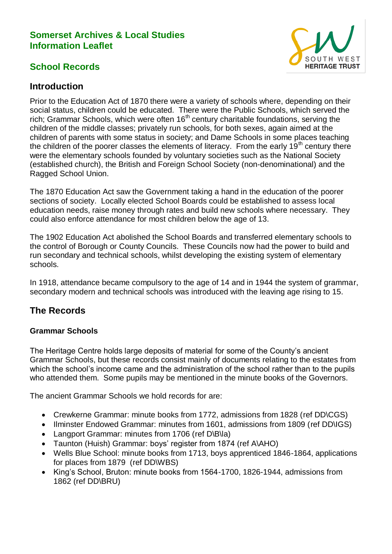### **Somerset Archives & Local Studies Information Leaflet**

# **School Records**



### **Introduction**

Prior to the Education Act of 1870 there were a variety of schools where, depending on their social status, children could be educated. There were the Public Schools, which served the rich; Grammar Schools, which were often  $16<sup>th</sup>$  century charitable foundations, serving the children of the middle classes; privately run schools, for both sexes, again aimed at the children of parents with some status in society; and Dame Schools in some places teaching the children of the poorer classes the elements of literacy. From the early 19<sup>th</sup> century there were the elementary schools founded by voluntary societies such as the National Society (established church), the British and Foreign School Society (non-denominational) and the Ragged School Union.

The 1870 Education Act saw the Government taking a hand in the education of the poorer sections of society. Locally elected School Boards could be established to assess local education needs, raise money through rates and build new schools where necessary. They could also enforce attendance for most children below the age of 13.

The 1902 Education Act abolished the School Boards and transferred elementary schools to the control of Borough or County Councils. These Councils now had the power to build and run secondary and technical schools, whilst developing the existing system of elementary schools.

In 1918, attendance became compulsory to the age of 14 and in 1944 the system of grammar, secondary modern and technical schools was introduced with the leaving age rising to 15.

## **The Records**

#### **Grammar Schools**

The Heritage Centre holds large deposits of material for some of the County's ancient Grammar Schools, but these records consist mainly of documents relating to the estates from which the school's income came and the administration of the school rather than to the pupils who attended them. Some pupils may be mentioned in the minute books of the Governors.

The ancient Grammar Schools we hold records for are:

- Crewkerne Grammar: minute books from 1772, admissions from 1828 (ref DD\CGS)
- Ilminster Endowed Grammar: minutes from 1601, admissions from 1809 (ref DD\IGS)
- Langport Grammar: minutes from 1706 (ref D\B\la)
- Taunton (Huish) Grammar: boys' register from 1874 (ref A\AHO)
- Wells Blue School: minute books from 1713, boys apprenticed 1846-1864, applications for places from 1879 (ref DD\WBS)
- King's School, Bruton: minute books from 1564-1700, 1826-1944, admissions from 1862 (ref DD\BRU)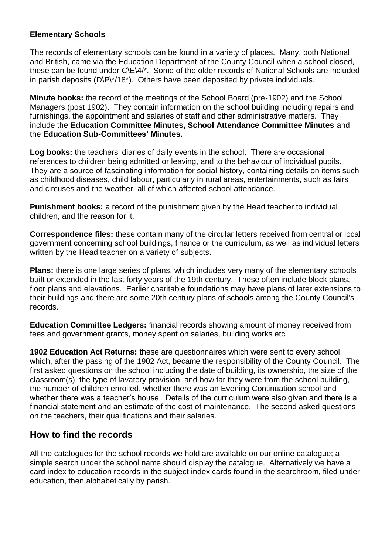#### **Elementary Schools**

The records of elementary schools can be found in a variety of places. Many, both National and British, came via the Education Department of the County Council when a school closed, these can be found under C\E\4/\*. Some of the older records of National Schools are included in parish deposits (D\P\\*/18\*). Others have been deposited by private individuals.

**Minute books:** the record of the meetings of the School Board (pre-1902) and the School Managers (post 1902). They contain information on the school building including repairs and furnishings, the appointment and salaries of staff and other administrative matters. They include the **Education Committee Minutes, School Attendance Committee Minutes** and the **Education Sub-Committees' Minutes.**

**Log books:** the teachers' diaries of daily events in the school. There are occasional references to children being admitted or leaving, and to the behaviour of individual pupils. They are a source of fascinating information for social history, containing details on items such as childhood diseases, child labour, particularly in rural areas, entertainments, such as fairs and circuses and the weather, all of which affected school attendance.

**Punishment books:** a record of the punishment given by the Head teacher to individual children, and the reason for it.

**Correspondence files:** these contain many of the circular letters received from central or local government concerning school buildings, finance or the curriculum, as well as individual letters written by the Head teacher on a variety of subjects.

**Plans:** there is one large series of plans, which includes very many of the elementary schools built or extended in the last forty years of the 19th century. These often include block plans, floor plans and elevations. Earlier charitable foundations may have plans of later extensions to their buildings and there are some 20th century plans of schools among the County Council's records.

**Education Committee Ledgers:** financial records showing amount of money received from fees and government grants, money spent on salaries, building works etc

**1902 Education Act Returns:** these are questionnaires which were sent to every school which, after the passing of the 1902 Act, became the responsibility of the County Council. The first asked questions on the school including the date of building, its ownership, the size of the classroom(s), the type of lavatory provision, and how far they were from the school building, the number of children enrolled, whether there was an Evening Continuation school and whether there was a teacher's house. Details of the curriculum were also given and there is a financial statement and an estimate of the cost of maintenance. The second asked questions on the teachers, their qualifications and their salaries.

## **How to find the records**

All the catalogues for the school records we hold are available on our online catalogue; a simple search under the school name should display the catalogue. Alternatively we have a card index to education records in the subject index cards found in the searchroom, filed under education, then alphabetically by parish.